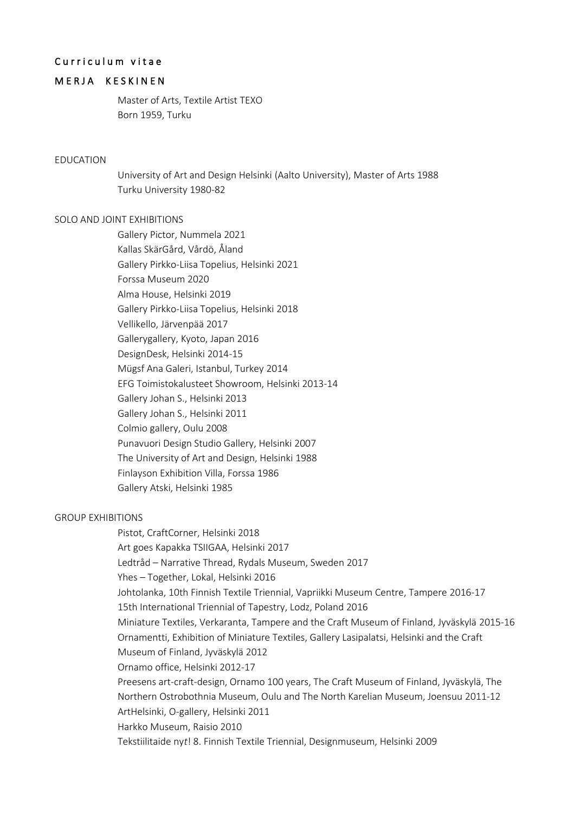# Curriculum vitae

## MERJA KESKINEN

Master of Arts, Textile Artist TEXO Born 1959, Turku

### EDUCATION

University of Art and Design Helsinki (Aalto University), Master of Arts 1988 Turku University 1980-82

### SOLO AND JOINT EXHIBITIONS

Gallery Pictor, Nummela 2021 Kallas SkärGård, Vårdö, Åland Gallery Pirkko-Liisa Topelius, Helsinki 2021 Forssa Museum 2020 Alma House, Helsinki 2019 Gallery Pirkko-Liisa Topelius, Helsinki 2018 Vellikello, Järvenpää 2017 Gallerygallery, Kyoto, Japan 2016 DesignDesk, Helsinki 2014-15 Mügsf Ana Galeri, Istanbul, Turkey 2014 EFG Toimistokalusteet Showroom, Helsinki 2013-14 Gallery Johan S., Helsinki 2013 Gallery Johan S., Helsinki 2011 Colmio gallery, Oulu 2008 Punavuori Design Studio Gallery, Helsinki 2007 The University of Art and Design, Helsinki 1988 Finlayson Exhibition Villa, Forssa 1986 Gallery Atski, Helsinki 1985

#### GROUP EXHIBITIONS

Pistot, CraftCorner, Helsinki 2018 Art goes Kapakka TSIIGAA, Helsinki 2017 Ledtråd – Narrative Thread, Rydals Museum, Sweden 2017 Yhes – Together, Lokal, Helsinki 2016 Johtolanka, 10th Finnish Textile Triennial, Vapriikki Museum Centre, Tampere 2016-17 15th International Triennial of Tapestry, Lodz, Poland 2016 Miniature Textiles, Verkaranta, Tampere and the Craft Museum of Finland, Jyväskylä 2015-16 Ornamentti, Exhibition of Miniature Textiles, Gallery Lasipalatsi, Helsinki and the Craft Museum of Finland, Jyväskylä 2012 Ornamo office, Helsinki 2012-17 Preesens art-craft-design, Ornamo 100 years, The Craft Museum of Finland, Jyväskylä, The Northern Ostrobothnia Museum, Oulu and The North Karelian Museum, Joensuu 2011-12 ArtHelsinki, O-gallery, Helsinki 2011 Harkko Museum, Raisio 2010 Tekstiilitaide ny*t*! 8. Finnish Textile Triennial, Designmuseum, Helsinki 2009